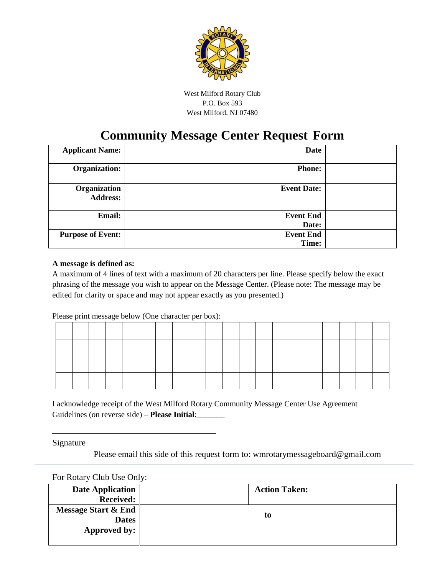

West Milford Rotary Club P.O. Box 593 West Milford, NJ 07480

## **Community Message Center Request Form**

| <b>Applicant Name:</b>          | Date                      |  |
|---------------------------------|---------------------------|--|
| Organization:                   | <b>Phone:</b>             |  |
| Organization<br><b>Address:</b> | <b>Event Date:</b>        |  |
| Email:                          | <b>Event End</b><br>Date: |  |
| <b>Purpose of Event:</b>        | <b>Event End</b><br>Time: |  |

## **A message is defined as:**

A maximum of 4 lines of text with a maximum of 20 characters per line. Please specify below the exact phrasing of the message you wish to appear on the Message Center. (Please note: The message may be edited for clarity or space and may not appear exactly as you presented.)

Please print message below (One character per box):

\_\_\_\_\_\_\_\_\_\_\_\_\_\_\_\_\_\_\_\_\_\_\_\_\_

I acknowledge receipt of the West Milford Rotary Community Message Center Use Agreement Guidelines (on reverse side) – **Please Initial**:\_\_\_\_\_\_\_

Signature

Please email this side of this request form to: wmrotarymessageboard@gmail.com

For Rotary Club Use Only:

| <b>Date Application</b>        | <b>Action Taken:</b> |  |  |  |  |
|--------------------------------|----------------------|--|--|--|--|
| <b>Received:</b>               |                      |  |  |  |  |
| <b>Message Start &amp; End</b> |                      |  |  |  |  |
| <b>Dates</b>                   | t0                   |  |  |  |  |
| Approved by:                   |                      |  |  |  |  |
|                                |                      |  |  |  |  |